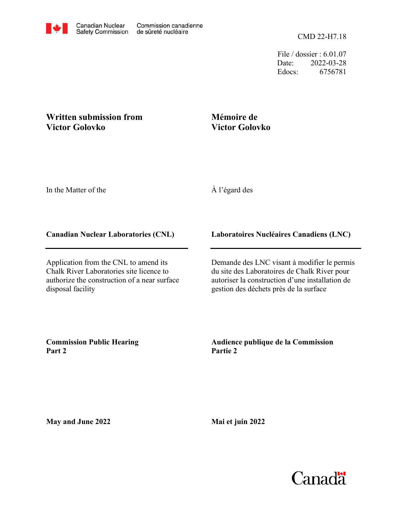File / dossier : 6.01.07 Date: 2022-03-28 Edocs: 6756781

## **Written submission from Victor Golovko**

## **Mémoire de Victor Golovko**

In the Matter of the

## À l'égard des

## **Canadian Nuclear Laboratories (CNL)**

Application from the CNL to amend its Chalk River Laboratories site licence to authorize the construction of a near surface disposal facility

**Laboratoires Nucléaires Canadiens (LNC)**

Demande des LNC visant à modifier le permis du site des Laboratoires de Chalk River pour autoriser la construction d'une installation de gestion des déchets près de la surface

**Commission Public Hearing Part 2**

**Audience publique de la Commission Partie 2**

**May and June 2022**

**Mai et juin 2022**